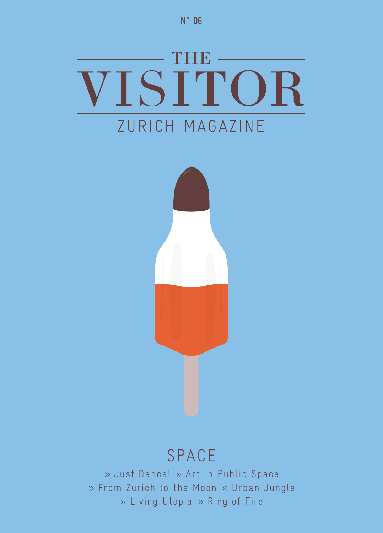# THE VISITOR ZURICH MAGAZINE



## SPACE

» Just Dance! » Art in Public Space » From Zurich to the Moon » Urban Jungle » Living Utopia » Ring of Fire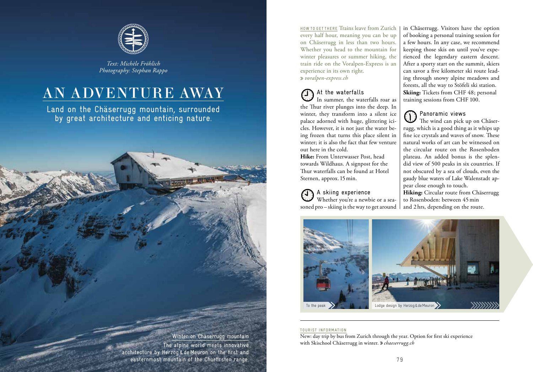

*Text: Michèle Fröhlich Photography: Stephan Rappo* 

## AN ADVENTURE AWAY

Land on the Chäserrugg mountain, surrounded by great architecture and enticing nature.

> 78 79 easternmost mountain of the Churfirsten range. Winter on Chäserrugg mountain The alpine world meets innovative architecture by Herzog & deMeuron on the first and

HOW TO GET THERE Trains leave from Zurich every half hour, meaning you can be up on Chäserrugg in less than two hours. Whether you head to the mountain for winter pleasures or summer hiking, the train ride on the Voralpen-Express is an experience in its own right.  *voralpen-express.ch*

### At the waterfalls

In summer, the waterfalls roar as the Thur river plunges into the deep. In winter, they transform into a silent ice palace adorned with huge, glittering icicles. However, it is not just the water being frozen that turns this place silent in winter; it is also the fact that few venture out here in the cold.

**Hike:** From Unterwasser Post, head towards Wildhaus. A signpost for the Thur waterfalls can be found at Hotel Sternen, approx. 15 min.

#### A skiing experience Whether you're a newbie or a sea-

soned pro – skiing is the way to get around

in Chäserrugg. Visitors have the option of booking a personal training session for a few hours. In any case, we recommend keeping those skis on until you've experienced the legendary eastern descent. After a sporty start on the summit, skiers can savor a five kilometer ski route leading through snowy alpine meadows and forests, all the way to Stöfeli ski station. **Skiing:** Tickets from CHF 48; personal training sessions from CHF 100.

#### Panoramic views

The wind can pick up on Chäserrugg, which is a good thing as it whips up fine ice crystals and waves of snow. These natural works of art can be witnessed on the circular route on the Rosenboden plateau. An added bonus is the splendid view of 500 peaks in six countries. If not obscured by a sea of clouds, even the gaudy blue waters of Lake Walenstadt appear close enough to touch. **Hiking:** Circular route from Chäserrugg to Rosenboden: between 45min and 2hrs, depending on the route.



#### TOURIST INFORMATION

New: day trip by bus from Zurich through the year. Option for first ski experience with Skischool Chäserrugg in winter. » chaeserrugg.ch